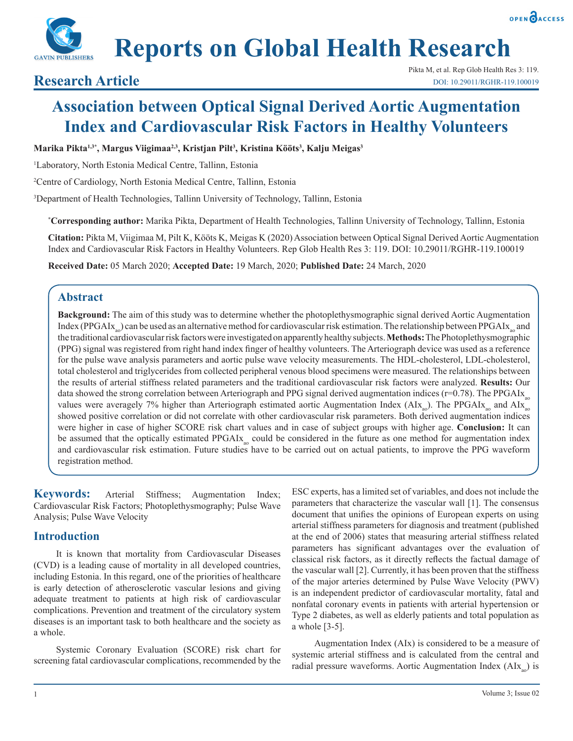



# **Reports on Global Health Research**

## **Association between Optical Signal Derived Aortic Augmentation Index and Cardiovascular Risk Factors in Healthy Volunteers**

**Marika Pikta1,3\*, Margus Viigimaa2,3, Kristjan Pilt3 , Kristina Kööts3 , Kalju Meigas3**

1 Laboratory, North Estonia Medical Centre, Tallinn, Estonia

2 Centre of Cardiology, North Estonia Medical Centre, Tallinn, Estonia

3 Department of Health Technologies, Tallinn University of Technology, Tallinn, Estonia

**\* Corresponding author:** Marika Pikta, Department of Health Technologies, Tallinn University of Technology, Tallinn, Estonia

**Citation:** Pikta M, Viigimaa M, Pilt K, Kööts K, Meigas K (2020) Association between Optical Signal Derived Aortic Augmentation Index and Cardiovascular Risk Factors in Healthy Volunteers. Rep Glob Health Res 3: 119. DOI: 10.29011/RGHR-119.100019

**Received Date:** 05 March 2020; **Accepted Date:** 19 March, 2020; **Published Date:** 24 March, 2020

## **Abstract**

**Background:** The aim of this study was to determine whether the photoplethysmographic signal derived Aortic Augmentation Index (PPGAIx<sub>ao</sub>) can be used as an alternative method for cardiovascular risk estimation. The relationship between PPGAIx<sub>ao</sub> and the traditional cardiovascular risk factors were investigated on apparently healthy subjects. **Methods:** The Photoplethysmographic (PPG) signal was registered from right hand index finger of healthy volunteers. The Arteriograph device was used as a reference for the pulse wave analysis parameters and aortic pulse wave velocity measurements. The HDL-cholesterol, LDL-cholesterol, total cholesterol and triglycerides from collected peripheral venous blood specimens were measured. The relationships between the results of arterial stiffness related parameters and the traditional cardiovascular risk factors were analyzed. **Results:** Our data showed the strong correlation between Arteriograph and PPG signal derived augmentation indices ( $r=0.78$ ). The PPGAI $x_{00}$ values were averagely 7% higher than Arteriograph estimated aortic Augmentation Index ( $AI_{X_{a0}}$ ). The PPGAI $x_{a0}$  and  $AI_{X_{a0}}$ showed positive correlation or did not correlate with other cardiovascular risk parameters. Both derived augmentation indices were higher in case of higher SCORE risk chart values and in case of subject groups with higher age. **Conclusion:** It can be assumed that the optically estimated PPGAIx<sub>ao</sub> could be considered in the future as one method for augmentation index and cardiovascular risk estimation. Future studies have to be carried out on actual patients, to improve the PPG waveform registration method.

Keywords: Arterial Stiffness; Augmentation Index; Cardiovascular Risk Factors; Photoplethysmography; Pulse Wave Analysis; Pulse Wave Velocity

## **Introduction**

It is known that mortality from Cardiovascular Diseases (CVD) is a leading cause of mortality in all developed countries, including Estonia. In this regard, one of the priorities of healthcare is early detection of atherosclerotic vascular lesions and giving adequate treatment to patients at high risk of cardiovascular complications. Prevention and treatment of the circulatory system diseases is an important task to both healthcare and the society as a whole.

Systemic Coronary Evaluation (SCORE) risk chart for screening fatal cardiovascular complications, recommended by the

ESC experts, has a limited set of variables, and does not include the parameters that characterize the vascular wall [1]. The consensus document that unifies the opinions of European experts on using arterial stiffness parameters for diagnosis and treatment (published at the end of 2006) states that measuring arterial stiffness related parameters has significant advantages over the evaluation of classical risk factors, as it directly reflects the factual damage of the vascular wall [2]. Currently, it has been proven that the stiffness of the major arteries determined by Pulse Wave Velocity (PWV) is an independent predictor of cardiovascular mortality, fatal and nonfatal coronary events in patients with arterial hypertension or Type 2 diabetes, as well as elderly patients and total population as a whole [3-5].

Augmentation Index (AIx) is considered to be a measure of systemic arterial stiffness and is calculated from the central and radial pressure waveforms. Aortic Augmentation Index  $(AIX_{a0})$  is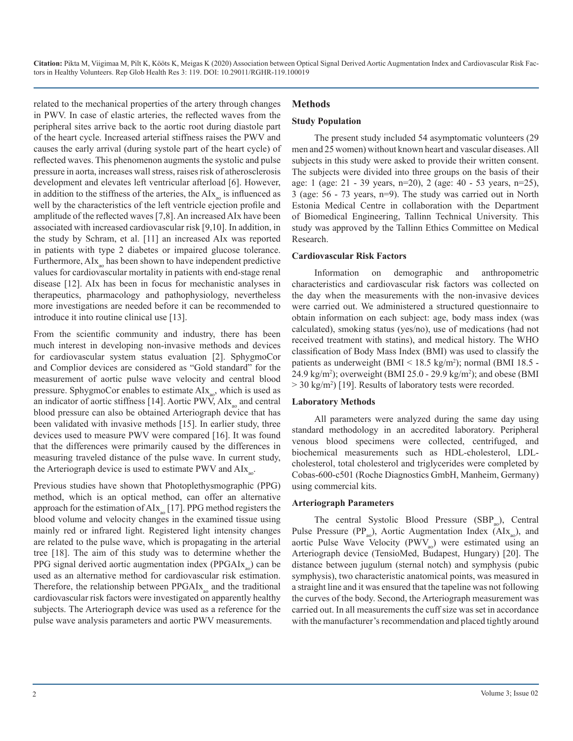related to the mechanical properties of the artery through changes in PWV. In case of elastic arteries, the reflected waves from the peripheral sites arrive back to the aortic root during diastole part of the heart cycle. Increased arterial stiffness raises the PWV and causes the early arrival (during systole part of the heart cycle) of reflected waves. This phenomenon augments the systolic and pulse pressure in aorta, increases wall stress, raises risk of atherosclerosis development and elevates left ventricular afterload [6]. However, in addition to the stiffness of the arteries, the  $AIx_{0}$  is influenced as well by the characteristics of the left ventricle ejection profile and amplitude of the reflected waves [7,8]. An increased AIx have been associated with increased cardiovascular risk [9,10]. In addition, in the study by Schram, et al. [11] an increased AIx was reported in patients with type 2 diabetes or impaired glucose tolerance. Furthermore,  $\text{AIX}_{\text{ao}}$  has been shown to have independent predictive values for cardiovascular mortality in patients with end-stage renal disease [12]. AIx has been in focus for mechanistic analyses in therapeutics, pharmacology and pathophysiology, nevertheless more investigations are needed before it can be recommended to introduce it into routine clinical use [13].

From the scientific community and industry, there has been much interest in developing non-invasive methods and devices for cardiovascular system status evaluation [2]. SphygmoCor and Complior devices are considered as "Gold standard" for the measurement of aortic pulse wave velocity and central blood pressure. SphygmoCor enables to estimate  $\text{AIX}_{\text{ao}}$ , which is used as an indicator of aortic stiffness  $[14]$ . Aortic PWV,  $\text{A}I\text{x}_{20}$  and central blood pressure can also be obtained Arteriograph device that has been validated with invasive methods [15]. In earlier study, three devices used to measure PWV were compared [16]. It was found that the differences were primarily caused by the differences in measuring traveled distance of the pulse wave. In current study, the Arteriograph device is used to estimate PWV and  $\text{AIX}_{\text{tot}}$ .

Previous studies have shown that Photoplethysmographic (PPG) method, which is an optical method, can offer an alternative approach for the estimation of  $\text{AIX}_{\text{ao}}$  [17]. PPG method registers the blood volume and velocity changes in the examined tissue using mainly red or infrared light. Registered light intensity changes are related to the pulse wave, which is propagating in the arterial tree [18]. The aim of this study was to determine whether the PPG signal derived aortic augmentation index  $(PPGAIx_{00})$  can be used as an alternative method for cardiovascular risk estimation. Therefore, the relationship between  $PPGAIx_{\text{no}}$  and the traditional cardiovascular risk factors were investigated on apparently healthy subjects. The Arteriograph device was used as a reference for the pulse wave analysis parameters and aortic PWV measurements.

## **Methods**

## **Study Population**

The present study included 54 asymptomatic volunteers (29 men and 25 women) without known heart and vascular diseases. All subjects in this study were asked to provide their written consent. The subjects were divided into three groups on the basis of their age: 1 (age: 21 - 39 years, n=20), 2 (age: 40 - 53 years, n=25), 3 (age: 56 - 73 years, n=9). The study was carried out in North Estonia Medical Centre in collaboration with the Department of Biomedical Engineering, Tallinn Technical University. This study was approved by the Tallinn Ethics Committee on Medical Research.

## **Cardiovascular Risk Factors**

Information on demographic and anthropometric characteristics and cardiovascular risk factors was collected on the day when the measurements with the non-invasive devices were carried out. We administered a structured questionnaire to obtain information on each subject: age, body mass index (was calculated), smoking status (yes/no), use of medications (had not received treatment with statins), and medical history. The WHO classification of Body Mass Index (BMI) was used to classify the patients as underweight (BMI < 18.5 kg/m2 ); normal (BMI 18.5 - 24.9 kg/m2 ); overweight (BMI 25.0 - 29.9 kg/m2 ); and obese (BMI > 30 kg/m2 ) [19]. Results of laboratory tests were recorded.

## **Laboratory Methods**

All parameters were analyzed during the same day using standard methodology in an accredited laboratory. Peripheral venous blood specimens were collected, centrifuged, and biochemical measurements such as HDL-cholesterol, LDLcholesterol, total cholesterol and triglycerides were completed by Cobas-600-c501 (Roche Diagnostics GmbH, Manheim, Germany) using commercial kits.

## **Arteriograph Parameters**

The central Systolic Blood Pressure  $(SBP<sub>so</sub>)$ , Central Pulse Pressure (PP<sub>30</sub>), Aortic Augmentation Index (AIx<sub>30</sub>), and aortic Pulse Wave Velocity (PWV<sub>ao</sub>) were estimated using an Arteriograph device (TensioMed, Budapest, Hungary) [20]. The distance between jugulum (sternal notch) and symphysis (pubic symphysis), two characteristic anatomical points, was measured in a straight line and it was ensured that the tapeline was not following the curves of the body. Second, the Arteriograph measurement was carried out. In all measurements the cuff size was set in accordance with the manufacturer's recommendation and placed tightly around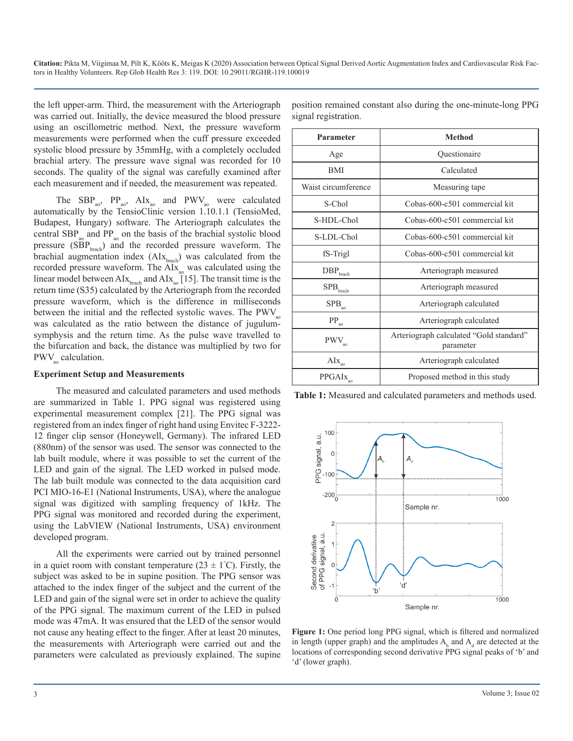the left upper-arm. Third, the measurement with the Arteriograph was carried out. Initially, the device measured the blood pressure using an oscillometric method. Next, the pressure waveform measurements were performed when the cuff pressure exceeded systolic blood pressure by 35mmHg, with a completely occluded brachial artery. The pressure wave signal was recorded for 10 seconds. The quality of the signal was carefully examined after each measurement and if needed, the measurement was repeated.

The  $SBP_{\text{ao}}$ ,  $PP_{\text{ao}}$ ,  $AIx_{\text{ao}}$  and  $PWV_{\text{ao}}$  were calculated automatically by the TensioClinic version 1.10.1.1 (TensioMed, Budapest, Hungary) software. The Arteriograph calculates the central  $SBP_{n}$  and  $PP_{n}$  on the basis of the brachial systolic blood pressure  $(SBP<sub>brach</sub>)$  and the recorded pressure waveform. The brachial augmentation index  $(A I x_{\text{branch}})$  was calculated from the recorded pressure waveform. The  $\text{AIX}_{20}$  was calculated using the linear model between  $\text{AIx}_{\text{branch}}$  and  $\text{AIx}_{\text{ao}}$  [15]. The transit time is the return time (S35) calculated by the Arteriograph from the recorded pressure waveform, which is the difference in milliseconds between the initial and the reflected systolic waves. The  $PWV_{\infty}$ was calculated as the ratio between the distance of jugulumsymphysis and the return time. As the pulse wave travelled to the bifurcation and back, the distance was multiplied by two for  $PWV_{\text{ao}}$  calculation.

## **Experiment Setup and Measurements**

The measured and calculated parameters and used methods are summarized in Table 1. PPG signal was registered using experimental measurement complex [21]. The PPG signal was registered from an index finger of right hand using Envitec F-3222- 12 finger clip sensor (Honeywell, Germany). The infrared LED (880nm) of the sensor was used. The sensor was connected to the lab built module, where it was possible to set the current of the LED and gain of the signal. The LED worked in pulsed mode. The lab built module was connected to the data acquisition card PCI MIO-16-E1 (National Instruments, USA), where the analogue signal was digitized with sampling frequency of 1kHz. The PPG signal was monitored and recorded during the experiment, using the LabVIEW (National Instruments, USA) environment developed program.

All the experiments were carried out by trained personnel in a quiet room with constant temperature  $(23 \pm 1^{\circ}C)$ . Firstly, the subject was asked to be in supine position. The PPG sensor was attached to the index finger of the subject and the current of the LED and gain of the signal were set in order to achieve the quality of the PPG signal. The maximum current of the LED in pulsed mode was 47mA. It was ensured that the LED of the sensor would not cause any heating effect to the finger. After at least 20 minutes, the measurements with Arteriograph were carried out and the parameters were calculated as previously explained. The supine

position remained constant also during the one-minute-long PPG signal registration.

| Parameter                                | <b>Method</b>                                        |  |  |  |
|------------------------------------------|------------------------------------------------------|--|--|--|
| Age                                      | Questionaire                                         |  |  |  |
| <b>BMI</b>                               | Calculated                                           |  |  |  |
| Waist circumference                      | Measuring tape                                       |  |  |  |
| S-Chol                                   | Cobas-600-c501 commercial kit                        |  |  |  |
| S-HDL-Chol                               | Cobas-600-c501 commercial kit                        |  |  |  |
| S-LDL-Chol                               | Cobas-600-c501 commercial kit                        |  |  |  |
| fS-Trigl                                 | Cobas-600-c501 commercial kit                        |  |  |  |
| $\rm DBP_{\rm brach}$                    | Arteriograph measured                                |  |  |  |
| ${\rm SPB}_{\rm brach}$                  | Arteriograph measured                                |  |  |  |
| ${\rm SPB}_{\scriptscriptstyle{\rm ao}}$ | Arteriograph calculated                              |  |  |  |
| $\text{PP}_{_{\text{ao}}}$               | Arteriograph calculated                              |  |  |  |
| $PWV_{\text{ao}}$                        | Arteriograph calculated "Gold standard"<br>parameter |  |  |  |
| $\rm{AIx}_{\rm{ao}}$                     | Arteriograph calculated                              |  |  |  |
| PPGAI <sub>x<sub>ao</sub></sub>          | Proposed method in this study                        |  |  |  |

**Table 1:** Measured and calculated parameters and methods used.



**Figure 1:** One period long PPG signal, which is filtered and normalized in length (upper graph) and the amplitudes  $A<sub>b</sub>$  and  $A<sub>d</sub>$  are detected at the locations of corresponding second derivative PPG signal peaks of 'b' and 'd' (lower graph).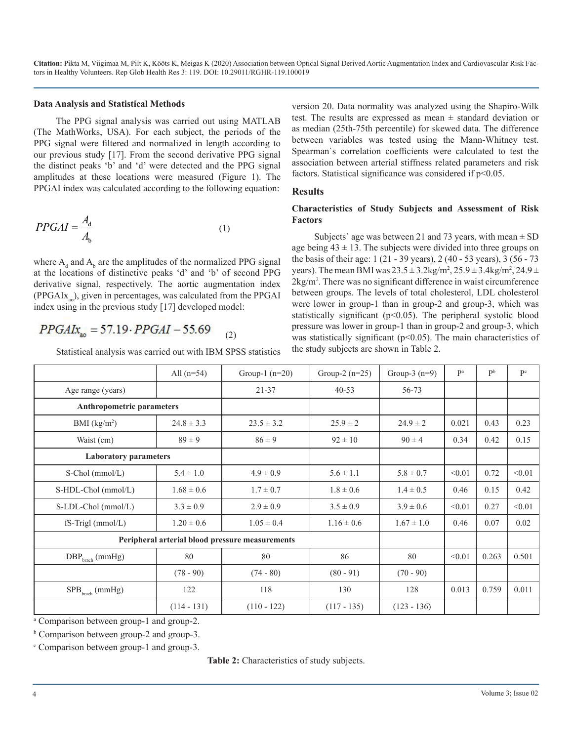### **Data Analysis and Statistical Methods**

The PPG signal analysis was carried out using MATLAB (The MathWorks, USA). For each subject, the periods of the PPG signal were filtered and normalized in length according to our previous study [17]. From the second derivative PPG signal the distinct peaks 'b' and 'd' were detected and the PPG signal amplitudes at these locations were measured (Figure 1). The PPGAI index was calculated according to the following equation:

$$
PPGAI = \frac{A_d}{A_b} \tag{1}
$$

where  $A_d$  and  $A_b$  are the amplitudes of the normalized PPG signal at the locations of distinctive peaks 'd' and 'b' of second PPG derivative signal, respectively. The aortic augmentation index  $(PPGAIx<sub>so</sub>)$ , given in percentages, was calculated from the PPGAI index using in the previous study [17] developed model:

#### $PPGAIx_{10} = 57.19 \cdot PPGAI - 55.69$ (2)

Statistical analysis was carried out with IBM SPSS statistics

version 20. Data normality was analyzed using the Shapiro-Wilk test. The results are expressed as mean  $\pm$  standard deviation or as median (25th-75th percentile) for skewed data. The difference between variables was tested using the Mann-Whitney test. Spearman`s correlation coefficients were calculated to test the association between arterial stiffness related parameters and risk factors. Statistical significance was considered if  $p<0.05$ .

## **Results**

## **Characteristics of Study Subjects and Assessment of Risk Factors**

Subjects' age was between 21 and 73 years, with mean  $\pm$  SD age being  $43 \pm 13$ . The subjects were divided into three groups on the basis of their age: 1 (21 - 39 years), 2 (40 - 53 years), 3 (56 - 73 years). The mean BMI was  $23.5 \pm 3.2$ kg/m<sup>2</sup>,  $25.9 \pm 3.4$ kg/m<sup>2</sup>,  $24.9 \pm$ 2kg/m2 . There was no significant difference in waist circumference between groups. The levels of total cholesterol, LDL cholesterol were lower in group-1 than in group-2 and group-3, which was statistically significant ( $p<0.05$ ). The peripheral systolic blood pressure was lower in group-1 than in group-2 and group-3, which was statistically significant ( $p<0.05$ ). The main characteristics of the study subjects are shown in Table 2.

|                                                 | All $(n=54)$   | Group-1 $(n=20)$ | Group-3 $(n=9)$<br>Group-2 $(n=25)$ |                | Pa     | P <sub>b</sub> | P <sup>c</sup> |
|-------------------------------------------------|----------------|------------------|-------------------------------------|----------------|--------|----------------|----------------|
| Age range (years)                               |                | $21 - 37$        | $40 - 53$                           | 56-73          |        |                |                |
| <b>Anthropometric parameters</b>                |                |                  |                                     |                |        |                |                |
| BMI $(kg/m2)$                                   | $24.8 \pm 3.3$ | $23.5 \pm 3.2$   | $25.9 \pm 2$                        | $24.9 \pm 2$   |        | 0.43           | 0.23           |
| Waist (cm)                                      | $89 \pm 9$     | $86 \pm 9$       | $92 \pm 10$                         | $90 \pm 4$     | 0.34   | 0.42           | 0.15           |
| <b>Laboratory parameters</b>                    |                |                  |                                     |                |        |                |                |
| S-Chol (mmol/L)                                 | $5.4 \pm 1.0$  | $4.9 \pm 0.9$    | $5.6 \pm 1.1$                       | $5.8 \pm 0.7$  | < 0.01 | 0.72           | < 0.01         |
| S-HDL-Chol (mmol/L)                             | $1.68 \pm 0.6$ | $1.7 \pm 0.7$    | $1.8 \pm 0.6$                       | $1.4 \pm 0.5$  | 0.46   | 0.15           | 0.42           |
| S-LDL-Chol (mmol/L)                             | $3.3 \pm 0.9$  | $2.9 \pm 0.9$    | $3.5 \pm 0.9$                       | $3.9 \pm 0.6$  | < 0.01 | 0.27           | < 0.01         |
| $fS-Trigl (mmol/L)$                             | $1.20 \pm 0.6$ | $1.05 \pm 0.4$   | $1.16 \pm 0.6$                      | $1.67 \pm 1.0$ | 0.46   | 0.07           | 0.02           |
| Peripheral arterial blood pressure measurements |                |                  |                                     |                |        |                |                |
| $DBP_{\text{branch}}$ (mmHg)                    | 80             | 80               | 86                                  | 80             | < 0.01 | 0.263          | 0.501          |
|                                                 | $(78 - 90)$    | $(74 - 80)$      | $(80 - 91)$                         | $(70 - 90)$    |        |                |                |
| $SPB_{\text{branch}}$ (mmHg)                    | 122            | 118              | 130                                 | 128            | 0.013  | 0.759          | 0.011          |
|                                                 | $(114 - 131)$  | $(110 - 122)$    | $(117 - 135)$                       | $(123 - 136)$  |        |                |                |

a Comparison between group-1 and group-2.

c Comparison between group-1 and group-3.

**Table 2:** Characteristics of study subjects.

<sup>&</sup>lt;sup>b</sup> Comparison between group-2 and group-3.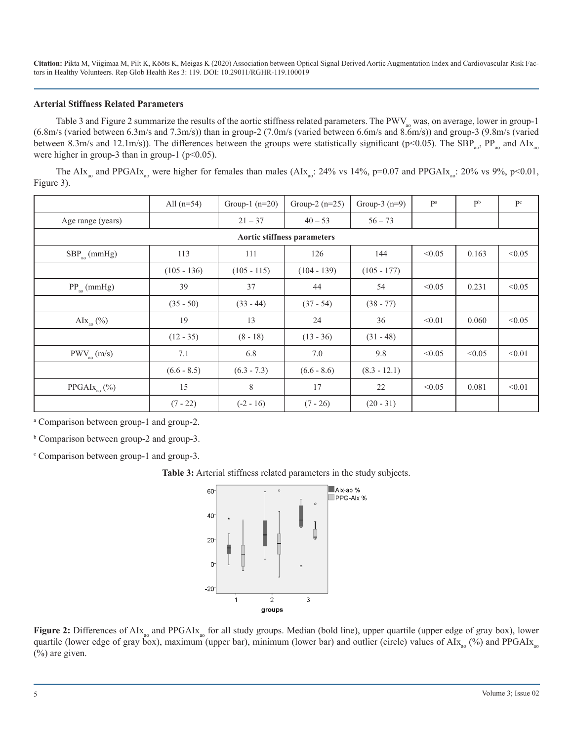## **Arterial Stiffness Related Parameters**

Table 3 and Figure 2 summarize the results of the aortic stiffness related parameters. The PWV<sub>ao</sub> was, on average, lower in group-1 (6.8m/s (varied between 6.3m/s and 7.3m/s)) than in group-2 (7.0m/s (varied between 6.6m/s and 8.6m/s)) and group-3 (9.8m/s (varied between 8.3m/s and 12.1m/s)). The differences between the groups were statistically significant (p<0.05). The SBP<sub>ao</sub>, PP<sub>ao</sub> and AIx<sub>ao</sub> were higher in group-3 than in group-1 ( $p<0.05$ ).

The AIx<sub>ao</sub> and PPGAIx<sub>ao</sub> were higher for females than males (AIx<sub>ao</sub>: 24% vs 14%, p=0.07 and PPGAIx<sub>ao</sub>: 20% vs 9%, p<0.01, Figure 3).

|                                          | All $(n=54)$  | Group-1 $(n=20)$ | Group-2 $(n=25)$ | Group-3 $(n=9)$ | Pa     | P <sub>b</sub> | $\mathbf{P}^\mathrm{c}$ |
|------------------------------------------|---------------|------------------|------------------|-----------------|--------|----------------|-------------------------|
| Age range (years)                        |               | $21 - 37$        | $40 - 53$        | $56 - 73$       |        |                |                         |
| Aortic stiffness parameters              |               |                  |                  |                 |        |                |                         |
| $SBP$ <sub>ao</sub> (mmHg)               | 113           | 111              | 126              | 144             | < 0.05 | 0.163          | < 0.05                  |
|                                          | $(105 - 136)$ | $(105 - 115)$    | $(104 - 139)$    | $(105 - 177)$   |        |                |                         |
| $PP_{\text{ao}}$ (mmHg)                  | 39            | 37               | 44               | 54              | < 0.05 | 0.231          | < 0.05                  |
|                                          | $(35 - 50)$   | $(33 - 44)$      | $(37 - 54)$      | $(38 - 77)$     |        |                |                         |
| AI $X_{30}$ (%)                          | 19            | 13               | 24               | 36              | < 0.01 | 0.060          | < 0.05                  |
|                                          | $(12 - 35)$   | $(8 - 18)$       | $(13 - 36)$      | $(31 - 48)$     |        |                |                         |
| $PWV_{\text{ao}}\left(\text{m/s}\right)$ | 7.1           | 6.8              | 7.0              | 9.8             | < 0.05 | < 0.05         | < 0.01                  |
|                                          | $(6.6 - 8.5)$ | $(6.3 - 7.3)$    | $(6.6 - 8.6)$    | $(8.3 - 12.1)$  |        |                |                         |
| PPGAI $x_{\text{ao}}$ (%)                | 15            | 8                | 17               | 22              | < 0.05 | 0.081          | < 0.01                  |
|                                          | $(7 - 22)$    | $(-2 - 16)$      | $(7 - 26)$       | $(20 - 31)$     |        |                |                         |

a Comparison between group-1 and group-2.

b Comparison between group-2 and group-3.

c Comparison between group-1 and group-3.

**Table 3:** Arterial stiffness related parameters in the study subjects.



**Figure 2:** Differences of AIx<sub>ao</sub> and PPGAIx<sub>ao</sub> for all study groups. Median (bold line), upper quartile (upper edge of gray box), lower quartile (lower edge of gray box), maximum (upper bar), minimum (lower bar) and outlier (circle) values of  $\text{AIX}_{\text{ao}}$  (%) and PPGAIx $_{\text{ao}}$ (%) are given.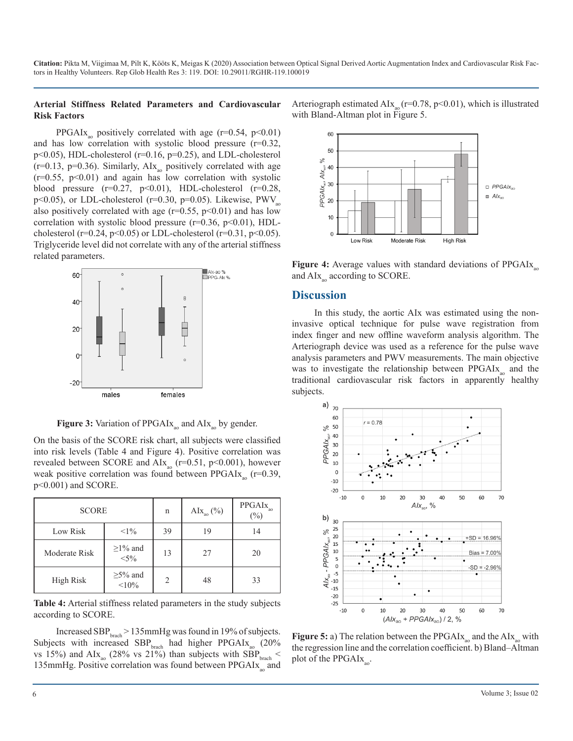## **Arterial Stiffness Related Parameters and Cardiovascular Risk Factors**

PPGAIx<sub>ao</sub> positively correlated with age (r=0.54, p<0.01) and has low correlation with systolic blood pressure  $(r=0.32)$ , p<0.05), HDL-cholesterol (r=0.16, p=0.25), and LDL-cholesterol  $(r=0.13, p=0.36)$ . Similarly, AIx<sub>n</sub> positively correlated with age  $(r=0.55, p<0.01)$  and again has low correlation with systolic blood pressure  $(r=0.27, p<0.01)$ , HDL-cholesterol  $(r=0.28,$ p<0.05), or LDL-cholesterol (r=0.30, p=0.05). Likewise,  $PWV_{\text{no}}$ also positively correlated with age ( $r=0.55$ ,  $p<0.01$ ) and has low correlation with systolic blood pressure  $(r=0.36, p<0.01)$ , HDLcholesterol (r=0.24, p<0.05) or LDL-cholesterol (r=0.31, p<0.05). Triglyceride level did not correlate with any of the arterial stiffness related parameters.



**Figure 3:** Variation of PPGAIx<sub>30</sub> and AIx<sub>30</sub> by gender.

On the basis of the SCORE risk chart, all subjects were classified into risk levels (Table 4 and Figure 4). Positive correlation was revealed between SCORE and  $\text{AIx}_{\text{no}}$  (r=0.51, p<0.001), however weak positive correlation was found between  $PPGAIx_{\text{eq}}$  (r=0.39, p<0.001) and SCORE.

| <b>SCORE</b>  |                          | n                        | AI $x_{\text{ao}}^{\text{(9)}}$ | $PPGAIx$ <sub>ao</sub><br>$(\%)$ |
|---------------|--------------------------|--------------------------|---------------------------------|----------------------------------|
| Low Risk      | $<1\%$                   | 39                       | 19                              | 14                               |
| Moderate Risk | $\geq$ 1% and<br>$< 5\%$ | 13                       | 27                              | 20                               |
| High Risk     | $\geq$ 5% and<br>$10\%$  | $\mathfrak{D}_{1}^{(1)}$ | 48                              | 33                               |

**Table 4:** Arterial stiffness related parameters in the study subjects according to SCORE.

Increased SBP $_{\text{brach}}$  > 135mmHg was found in 19% of subjects. Subjects with increased  $SBP<sub>branch</sub>$  had higher PPGAIx<sub>ao</sub> (20%) vs 15%) and  $\text{AIx}_{\text{ao}}$  (28% vs 21%) than subjects with SBP $_{\text{branch}}$  < 135mmHg. Positive correlation was found between  $PPGAIx_{0}$  and

Arteriograph estimated AIx<sub>ao</sub> ( $r=0.78$ ,  $p<0.01$ ), which is illustrated with Bland-Altman plot in Figure 5.



**Figure 4:** Average values with standard deviations of PPGAIx<sub>oo</sub> and  $\text{AIX}_{\text{no}}$  according to SCORE.

## **Discussion**

In this study, the aortic AIx was estimated using the noninvasive optical technique for pulse wave registration from index finger and new offline waveform analysis algorithm. The Arteriograph device was used as a reference for the pulse wave analysis parameters and PWV measurements. The main objective was to investigate the relationship between  $PPGAIx_{\text{no}}$  and the traditional cardiovascular risk factors in apparently healthy subjects.



**Figure 5:** a) The relation between the PPGAI $x_a$  and the AI $x_a$  with the regression line and the correlation coefficient. b) Bland–Altman plot of the  $PPGAIx_{\infty}$ .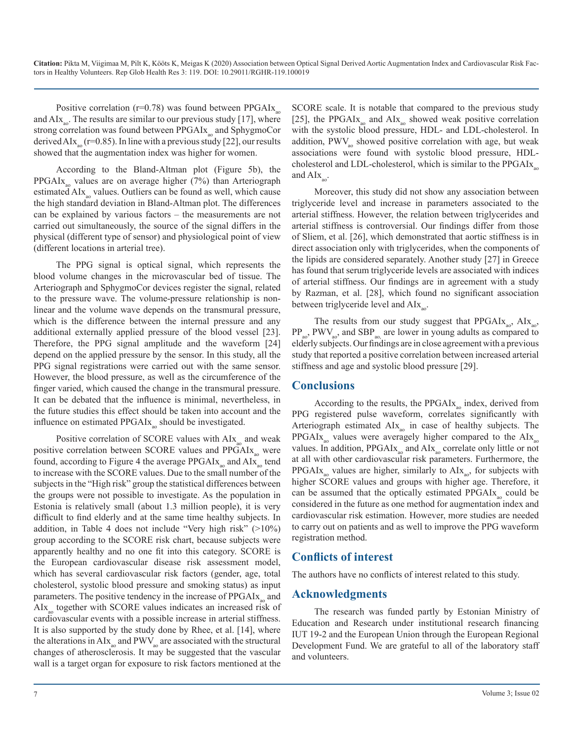Positive correlation ( $r=0.78$ ) was found between PPGAIx<sub>30</sub> and  $AIx_{\text{av}}$ . The results are similar to our previous study [17], where strong correlation was found between  $PPGAIx$ <sub>no</sub> and SphygmoCor derived AIx<sub>ao</sub> (r=0.85). In line with a previous study [22], our results showed that the augmentation index was higher for women.

According to the Bland-Altman plot (Figure 5b), the PPGAIx<sub>n</sub> values are on average higher  $(7%)$  than Arteriograph estimated  $\text{AI}_{\text{X}_{\text{ao}}}$  values. Outliers can be found as well, which cause the high standard deviation in Bland-Altman plot. The differences can be explained by various factors – the measurements are not carried out simultaneously, the source of the signal differs in the physical (different type of sensor) and physiological point of view (different locations in arterial tree).

The PPG signal is optical signal, which represents the blood volume changes in the microvascular bed of tissue. The Arteriograph and SphygmoCor devices register the signal, related to the pressure wave. The volume-pressure relationship is nonlinear and the volume wave depends on the transmural pressure, which is the difference between the internal pressure and any additional externally applied pressure of the blood vessel [23]. Therefore, the PPG signal amplitude and the waveform [24] depend on the applied pressure by the sensor. In this study, all the PPG signal registrations were carried out with the same sensor. However, the blood pressure, as well as the circumference of the finger varied, which caused the change in the transmural pressure. It can be debated that the influence is minimal, nevertheless, in the future studies this effect should be taken into account and the influence on estimated PPGAIx<sub>n</sub> should be investigated.

Positive correlation of SCORE values with  $\text{AIx}_{\text{eq}}$  and weak positive correlation between SCORE values and  $PPGAIx_{n}$  were found, according to Figure 4 the average PPGAI $x_{\text{no}}$  and AI $x_{\text{no}}$  tend to increase with the SCORE values. Due to the small number of the subjects in the "High risk" group the statistical differences between the groups were not possible to investigate. As the population in Estonia is relatively small (about 1.3 million people), it is very difficult to find elderly and at the same time healthy subjects. In addition, in Table 4 does not include "Very high risk" (>10%) group according to the SCORE risk chart, because subjects were apparently healthy and no one fit into this category. SCORE is the European cardiovascular disease risk assessment model, which has several cardiovascular risk factors (gender, age, total cholesterol, systolic blood pressure and smoking status) as input parameters. The positive tendency in the increase of  $PPGAIx_{\text{no}}$  and AIx<sub>n</sub> together with SCORE values indicates an increased risk of cardiovascular events with a possible increase in arterial stiffness. It is also supported by the study done by Rhee, et al. [14], where the alterations in  $\text{AIX}_{\text{ao}}$  and  $\text{PWV}_{\text{ao}}$  are associated with the structural changes of atherosclerosis. It may be suggested that the vascular wall is a target organ for exposure to risk factors mentioned at the

SCORE scale. It is notable that compared to the previous study [25], the PPGAIx<sub>30</sub> and AIx<sub>30</sub> showed weak positive correlation with the systolic blood pressure, HDL- and LDL-cholesterol. In addition,  $PWV_{\alpha}$  showed positive correlation with age, but weak associations were found with systolic blood pressure, HDLcholesterol and LDL-cholesterol, which is similar to the  $PPGAIx_{\alpha}$ and  $AIx_{\text{ao}}$ .

Moreover, this study did not show any association between triglyceride level and increase in parameters associated to the arterial stiffness. However, the relation between triglycerides and arterial stiffness is controversial. Our findings differ from those of Sliem, et al. [26], which demonstrated that aortic stiffness is in direct association only with triglycerides, when the components of the lipids are considered separately. Another study [27] in Greece has found that serum triglyceride levels are associated with indices of arterial stiffness. Our findings are in agreement with a study by Razman, et al. [28], which found no significant association between triglyceride level and  $AIx_{\text{max}}$ .

The results from our study suggest that  $PPGAIx_{\text{ao}}$ ,  $AIx_{\text{ao}}$ ,  $PP_{\text{ao}}$ , PWV<sub>ao</sub>, and SBP<sub>ao</sub> are lower in young adults as compared to elderly subjects. Our findings are in close agreement with a previous study that reported a positive correlation between increased arterial stiffness and age and systolic blood pressure [29].

## **Conclusions**

According to the results, the PPGAI $x_{\text{no}}$  index, derived from PPG registered pulse waveform, correlates significantly with Arteriograph estimated  $\text{AIX}_{\text{ao}}$  in case of healthy subjects. The PPGAIx<sub>30</sub> values were averagely higher compared to the  $\text{AIX}_{30}$ values. In addition,  $PPGAIx_{\text{ao}}$  and  $AIx_{\text{ao}}$  correlate only little or not at all with other cardiovascular risk parameters. Furthermore, the PPGAIx<sub>ao</sub> values are higher, similarly to  $\text{AIX}_{\text{ao}}$ , for subjects with higher SCORE values and groups with higher age. Therefore, it can be assumed that the optically estimated  $PPGAIx_{\text{ao}}$  could be considered in the future as one method for augmentation index and cardiovascular risk estimation. However, more studies are needed to carry out on patients and as well to improve the PPG waveform registration method.

## **Conflicts of interest**

The authors have no conflicts of interest related to this study.

## **Acknowledgments**

The research was funded partly by Estonian Ministry of Education and Research under institutional research financing IUT 19-2 and the European Union through the European Regional Development Fund. We are grateful to all of the laboratory staff and volunteers.